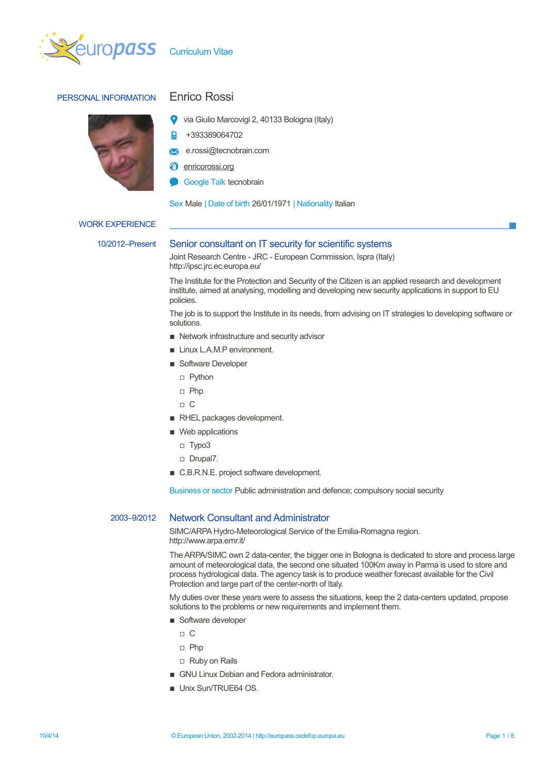

# PERSONAL INFORMATION Enrico Rossi



- via Giulio Marcovigi 2, 40133 Bologna (Italy)
- À +393389064702
- e.rossi@tecnobrain.com  $\sum$
- **a** enricorossi.org
- Google Talk tecnobrain

Sex Male | Date of birth 26/01/1971 | Nationality Italian

### WORK EXPERIENCE

## 10/2012–Present Senior consultant on IT security for scientific systems

Joint Research Centre - JRC - European Commission, Ispra (Italy) http://ipsc.jrc.ec.europa.eu/

The Institute for the Protection and Security of the Citizen is an applied research and development institute, aimed at analysing, modelling and developing new security applications in support to EU policies.

The job is to support the Institute in its needs, from advising on IT strategies to developing software or solutions.

- Network infrastructure and security advisor
- **E** Linux L.A.M.P environment.
- Software Developer
	- Python
	- Php
	- C
- RHEL packages development.
- Web applications
	- Typo3
	- Drupal7.
- C.B.R.N.E. project software development.

Business or sector Public administration and defence; compulsory social security

## 2003–9/2012 Network Consultant and Administrator

SIMC/ARPA Hydro-Meteorological Service of the Emilia-Romagna region. http://www.arpa.emr.it/

The ARPA/SIMC own 2 data-center, the bigger one in Bologna is dedicated to store and process large amount of meteorological data, the second one situated 100Km away in Parma is used to store and process hydrological data. The agency task is to produce weather forecast available for the Civil Protection and large part of the center-north of Italy.

My duties over these years were to assess the situations, keep the 2 data-centers updated, propose solutions to the problems or new requirements and implement them.

- Software developer
	- $\Box$  C
	- Php
	- Ruby on Rails
- GNU Linux Debian and Fedora administrator.
- **Unix Sun/TRUE64 OS.**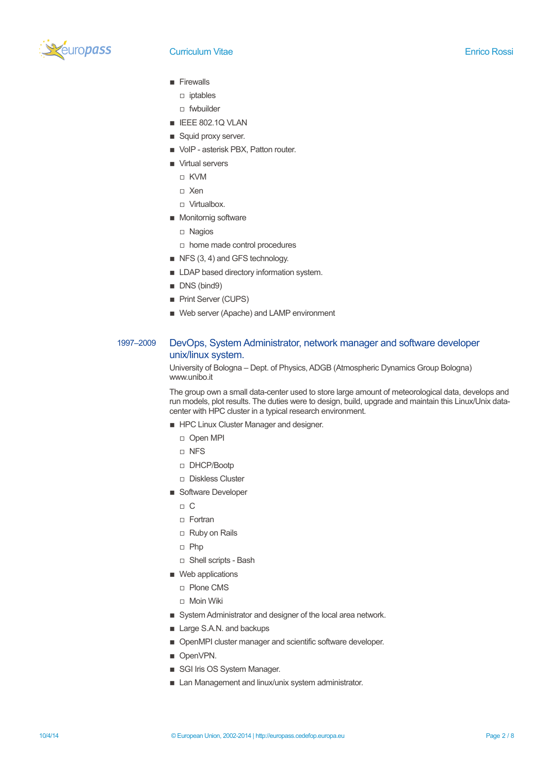

- **Firewalls** 
	- iptables
	- fwbuilder
- **E** IEEE 802.1Q VLAN
- Squid proxy server.
- VoIP asterisk PBX, Patton router.
- Virtual servers
	- KVM
	- Xen
	- □ Virtualbox.
- Monitornig software
	- Nagios
	- home made control procedures
- $\blacksquare$  NFS (3, 4) and GFS technology.
- **E** LDAP based directory information system.
- DNS (bind9)
- Print Server (CUPS)
- Web server (Apache) and LAMP environment

## 1997–2009 DevOps, System Administrator, network manager and software developer unix/linux system.

University of Bologna – Dept. of Physics, ADGB (Atmospheric Dynamics Group Bologna) www.unibo.it

The group own a small data-center used to store large amount of meteorological data, develops and run models, plot results. The duties were to design, build, upgrade and maintain this Linux/Unix datacenter with HPC cluster in a typical research environment.

- **EXECUTE:** HPC Linux Cluster Manager and designer.
	- Open MPI
	- NFS
	- DHCP/Bootp
	- Diskless Cluster
- Software Developer
	- $\Box$  C
	- Fortran
	- Ruby on Rails
	- Php
	- □ Shell scripts Bash
- Web applications
	- Plone CMS
	- □ Moin Wiki
- **EXECUTE:** System Administrator and designer of the local area network.
- Large S.A.N. and backups
- OpenMPI cluster manager and scientific software developer.
- OpenVPN.
- **B** SGI Iris OS System Manager.
- Lan Management and linux/unix system administrator.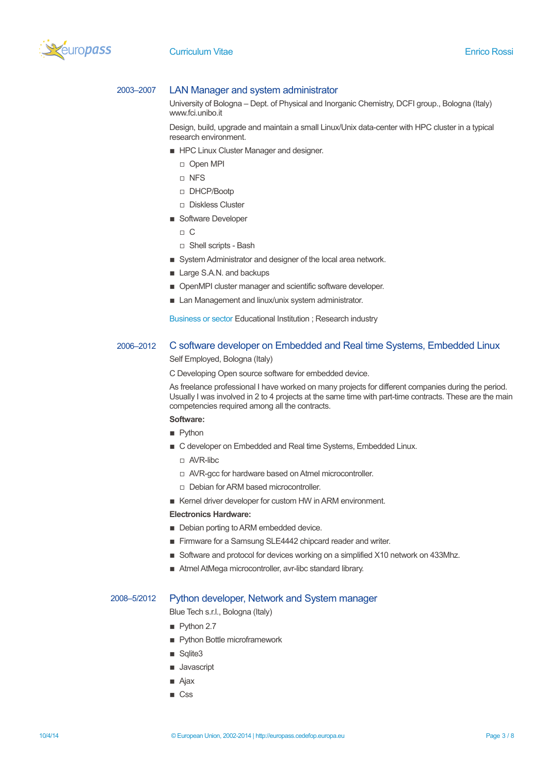

## 2003–2007 LAN Manager and system administrator

University of Bologna – Dept. of Physical and Inorganic Chemistry, DCFI group., Bologna (Italy) www.fci.unibo.it

Design, build, upgrade and maintain a small Linux/Unix data-center with HPC cluster in a typical research environment.

- **EXECUTE:** HPC Linux Cluster Manager and designer.
	- Open MPI
	- NFS
	- DHCP/Bootp
	- Diskless Cluster
- Software Developer
	- $\Box$  C
	- □ Shell scripts Bash
- **EXECT:** System Administrator and designer of the local area network.
- Large S.A.N. and backups
- **OpenMPI cluster manager and scientific software developer.**
- **E** Lan Management and linux/unix system administrator.

Business or sector Educational Institution ; Research industry

## 2006–2012 C software developer on Embedded and Real time Systems, Embedded Linux Self Employed, Bologna (Italy)

C Developing Open source software for embedded device.

As freelance professional I have worked on many projects for different companies during the period. Usually I was involved in 2 to 4 projects at the same time with part-time contracts. These are the main competencies required among all the contracts.

# **Software:**

- **Python**
- C developer on Embedded and Real time Systems, Embedded Linux.
	- AVR-libc
	- AVR-gcc for hardware based on Atmel microcontroller.
	- Debian for ARM based microcontroller.
- Kernel driver developer for custom HW in ARM environment.

### **Electronics Hardware:**

- **Debian porting to ARM embedded device.**
- Firmware for a Samsung SLE4442 chipcard reader and writer.
- Software and protocol for devices working on a simplified X10 network on 433Mhz.
- Atmel AtMega microcontroller, avr-libc standard library.

## 2008–5/2012 Python developer, Network and System manager

Blue Tech s.r.l., Bologna (Italy)

- Python 2.7
- **Python Bottle microframework**
- Sqlite3
- **Javascript**
- Ajax
- Css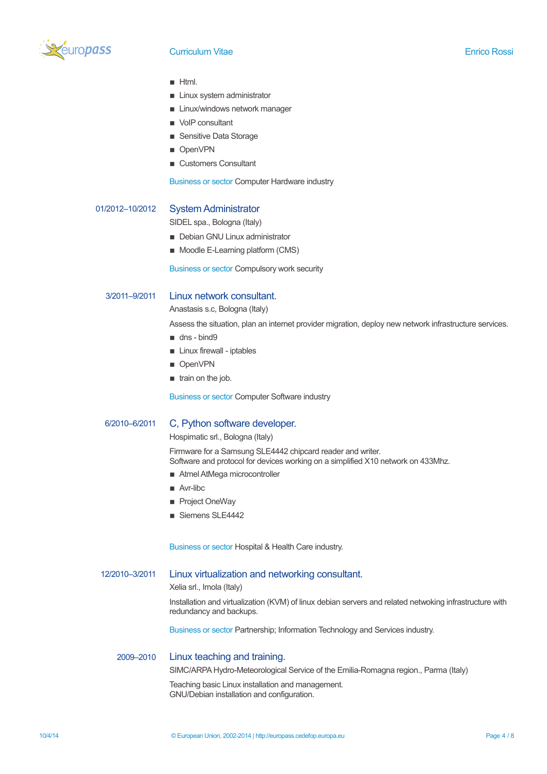

- **Html.**
- **E** Linux system administrator
- **E** Linux/windows network manager
- VoIP consultant
- **B** Sensitive Data Storage
- OpenVPN
- Customers Consultant

Business or sector Computer Hardware industry

## 01/2012–10/2012 System Administrator

SIDEL spa., Bologna (Italy)

- **Debian GNU Linux administrator**
- Moodle E-Learning platform (CMS)

Business or sector Compulsory work security

## 3/2011–9/2011 Linux network consultant.

Anastasis s.c, Bologna (Italy)

Assess the situation, plan an internet provider migration, deploy new network infrastructure services.

- dns bind9
- **E** Linux firewall iptables
- OpenVPN
- **u** train on the job.

Business or sector Computer Software industry

## 6/2010–6/2011 C, Python software developer.

Hospimatic srl., Bologna (Italy)

Firmware for a Samsung SLE4442 chipcard reader and writer. Software and protocol for devices working on a simplified X10 network on 433Mhz.

- Atmel AtMega microcontroller
- Avr-libc
- Project OneWay
- Siemens SLE4442

Business or sector Hospital & Health Care industry.

#### 12/2010–3/2011 Linux virtualization and networking consultant.

Xelia srl., Imola (Italy)

Installation and virtualization (KVM) of linux debian servers and related netwoking infrastructure with redundancy and backups.

Business or sector Partnership; Information Technology and Services industry.

## 2009–2010 Linux teaching and training.

SIMC/ARPA Hydro-Meteorological Service of the Emilia-Romagna region., Parma (Italy)

Teaching basic Linux installation and management. GNU/Debian installation and configuration.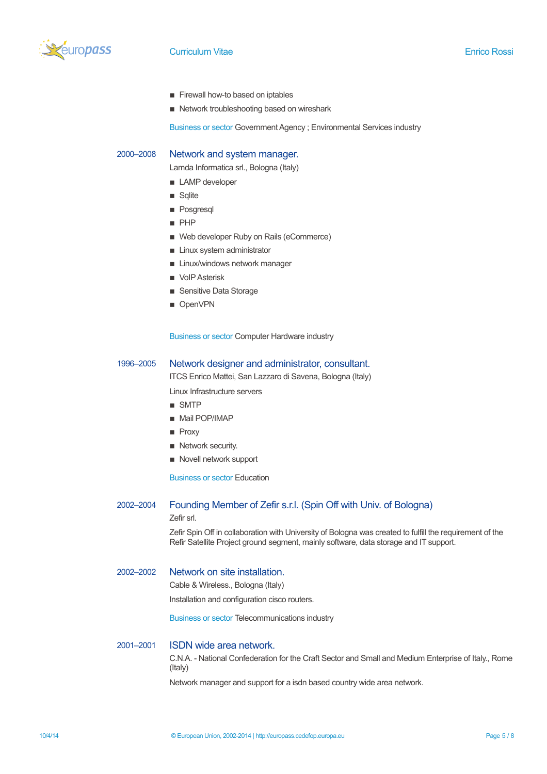

- **Exercise Exercise E** Firewall how-to based on iptables
- Network troubleshooting based on wireshark

Business or sector Government Agency ; Environmental Services industry

#### 2000–2008 Network and system manager.

Lamda Informatica srl., Bologna (Italy)

- LAMP developer
- **B** Sqlite
- **Posgresql**
- PHP
- Web developer Ruby on Rails (eCommerce)
- **E** Linux system administrator
- **E** Linux/windows network manager
- **D** VoIP Asterisk
- Sensitive Data Storage
- OpenVPN

Business or sector Computer Hardware industry

## 1996–2005 Network designer and administrator, consultant.

ITCS Enrico Mattei, San Lazzaro di Savena, Bologna (Italy)

Linux Infrastructure servers

- SMTP
- Mail POP/IMAP
- **Proxy**
- **Retwork security.**
- Novell network support

Business or sector Education

### 2002–2004 Founding Member of Zefir s.r.l. (Spin Off with Univ. of Bologna)

Zefir srl.

Zefir Spin Off in collaboration with University of Bologna was created to fulfill the requirement of the Refir Satellite Project ground segment, mainly software, data storage and IT support.

## 2002–2002 Network on site installation.

Cable & Wireless., Bologna (Italy)

Installation and configuration cisco routers.

Business or sector Telecommunications industry

## 2001–2001 ISDN wide area network.

C.N.A. - National Confederation for the Craft Sector and Small and Medium Enterprise of Italy., Rome (Italy)

Network manager and support for a isdn based country wide area network.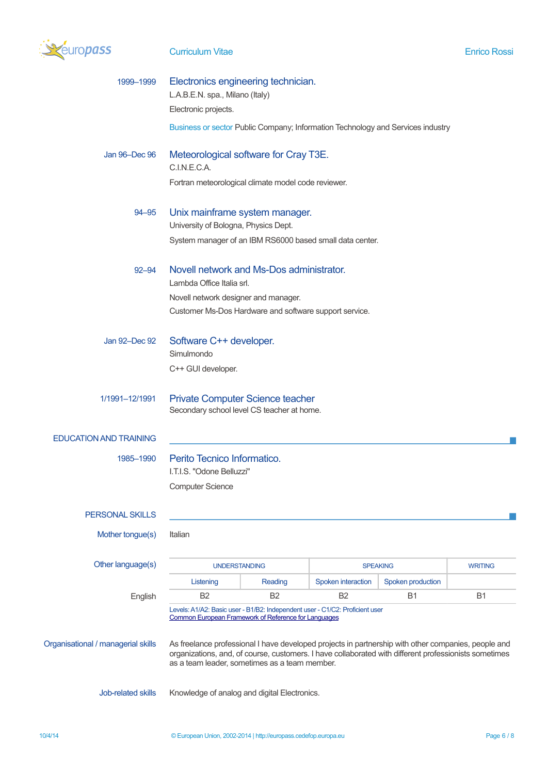

| 1999-1999                          | Electronics engineering technician.<br>L.A.B.E.N. spa., Milano (Italy)<br>Electronic projects.                                                                                                                                                                |         |                    |                   |                |
|------------------------------------|---------------------------------------------------------------------------------------------------------------------------------------------------------------------------------------------------------------------------------------------------------------|---------|--------------------|-------------------|----------------|
|                                    | Business or sector Public Company; Information Technology and Services industry                                                                                                                                                                               |         |                    |                   |                |
| Jan 96-Dec 96                      | Meteorological software for Cray T3E.<br>C.I.N.E.C.A.<br>Fortran meteorological climate model code reviewer.                                                                                                                                                  |         |                    |                   |                |
| $94 - 95$                          | Unix mainframe system manager.<br>University of Bologna, Physics Dept.<br>System manager of an IBM RS6000 based small data center.                                                                                                                            |         |                    |                   |                |
| $92 - 94$                          | Novell network and Ms-Dos administrator.<br>Lambda Office Italia srl.<br>Novell network designer and manager.<br>Customer Ms-Dos Hardware and software support service.                                                                                       |         |                    |                   |                |
| Jan 92-Dec 92                      | Software C++ developer.<br>Simulmondo<br>C++ GUI developer.                                                                                                                                                                                                   |         |                    |                   |                |
| 1/1991-12/1991                     | <b>Private Computer Science teacher</b><br>Secondary school level CS teacher at home.                                                                                                                                                                         |         |                    |                   |                |
| <b>EDUCATION AND TRAINING</b>      |                                                                                                                                                                                                                                                               |         |                    |                   |                |
| 1985-1990                          | Perito Tecnico Informatico.<br>I.T.I.S. "Odone Belluzzi"<br><b>Computer Science</b>                                                                                                                                                                           |         |                    |                   |                |
| <b>PERSONAL SKILLS</b>             |                                                                                                                                                                                                                                                               |         |                    |                   |                |
| Mother tongue(s)                   | Italian                                                                                                                                                                                                                                                       |         |                    |                   |                |
| Other language(s)                  | <b>UNDERSTANDING</b>                                                                                                                                                                                                                                          |         | <b>SPEAKING</b>    |                   | <b>WRITING</b> |
|                                    | Listening                                                                                                                                                                                                                                                     | Reading | Spoken interaction | Spoken production |                |
| English                            | <b>B2</b><br><b>B2</b><br>B <sub>2</sub><br><b>B1</b><br>B1<br>Levels: A1/A2: Basic user - B1/B2: Independent user - C1/C2: Proficient user<br>Common European Framework of Reference for Languages                                                           |         |                    |                   |                |
| Organisational / managerial skills | As freelance professional I have developed projects in partnership with other companies, people and<br>organizations, and, of course, customers. I have collaborated with different professionists sometimes<br>as a team leader, sometimes as a team member. |         |                    |                   |                |
| Job-related skills                 | Knowledge of analog and digital Electronics.                                                                                                                                                                                                                  |         |                    |                   |                |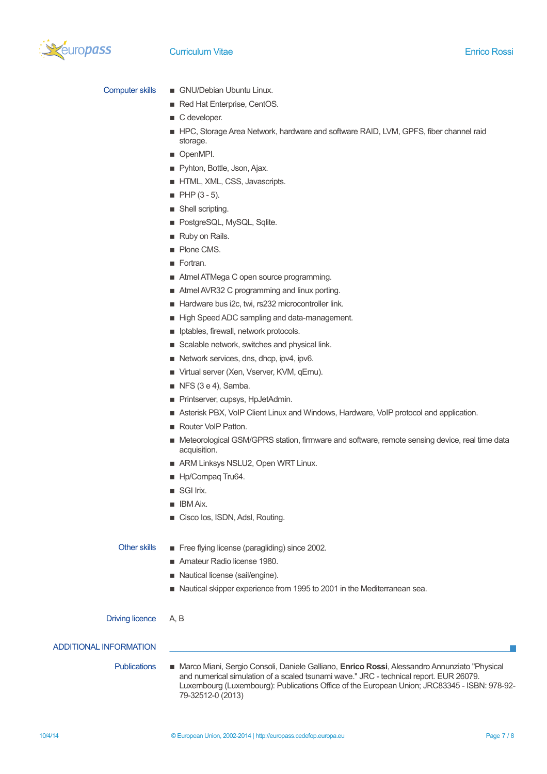

- Computer skills GNU/Debian Ubuntu Linux.
	- Red Hat Enterprise, CentOS.
	- C developer.
	- **E** HPC, Storage Area Network, hardware and software RAID, LVM, GPFS, fiber channel raid storage.
	- **DenMPI.**
	- **Pyhton, Bottle, Json, Ajax.**
	- **F** HTML, XML, CSS, Javascripts.
	- $\blacksquare$  PHP (3 5).
	- **B** Shell scripting.
	- **PostgreSQL, MySQL, Sqlite.**
	- Ruby on Rails.
	- **Plone CMS.**
	- **Fortran.**
	- Atmel ATMega C open source programming.
	- Atmel AVR32 C programming and linux porting.
	- Hardware bus i2c, twi, rs232 microcontroller link.
	- **E** High Speed ADC sampling and data-management.
	- $\blacksquare$  Iptables, firewall, network protocols.
	- Scalable network, switches and physical link.
	- Network services, dns, dhcp, ipv4, ipv6.
	- Virtual server (Xen, Vserver, KVM, qEmu).
	- $\blacksquare$  NFS (3 e 4), Samba.
	- **Printserver, cupsys, HpJetAdmin.**
	- Asterisk PBX, VoIP Client Linux and Windows, Hardware, VoIP protocol and application.
	- Router VoIP Patton.
	- **INDER ARK IN A Meteorological GSM/GPRS station, firmware and software, remote sensing device, real time data** acquisition.
	- ARM Linksys NSLU2, Open WRT Linux.
	- Hp/Compaq Tru64.
	- SGI Irix.
	- $\blacksquare$  IBM Aix.
	- Cisco Ios, ISDN, Adsl, Routing.

- Other skills **EXECUTE:** Free flying license (paragliding) since 2002.
	- Amateur Radio license 1980.
	- Nautical license (sail/engine).
	- Nautical skipper experience from 1995 to 2001 in the Mediterranean sea.

### Driving licence A, B

### ADDITIONAL INFORMATION

Publications ▪ Marco Miani, Sergio Consoli, Daniele Galliano, **Enrico Rossi**, Alessandro Annunziato "Physical and numerical simulation of a scaled tsunami wave." JRC - technical report. EUR 26079. Luxembourg (Luxembourg): Publications Office of the European Union; JRC83345 - ISBN: 978-92- 79-32512-0 (2013)